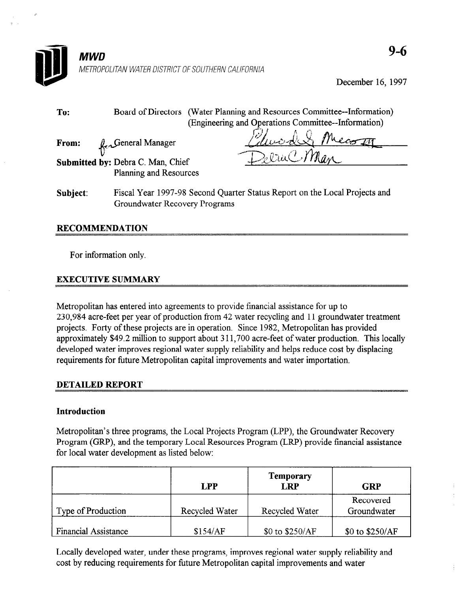

December 16, 1997

| To:      | Board of Directors (Water Planning and Resources Committee--Information)<br>(Engineering and Operations Committee--Information) |
|----------|---------------------------------------------------------------------------------------------------------------------------------|
| From:    | duades<br>Le General Manager                                                                                                    |
|          | ZeruCMan<br>Submitted by: Debra C. Man, Chief                                                                                   |
|          | Planning and Resources                                                                                                          |
| Subject: | Fiscal Year 1997-98 Second Quarter Status Report on the Local Projects and<br>Groundwater Recovery Programs                     |

### RECOMMENDATION

For information only.

## EXECUTIVE SUMMARY

Metropolitan has entered into agreements to provide financial assistance for up to 230,984 acre-feet per year of production from 42 water recycling and 11 groundwater treatment projects. Forty of these projects are in operation. Since 1982, Metropolitan has provided approximately \$49.2 million to support about 3 11,700 acre-feet of water production. This locally developed water improves regional water supply reliability and helps reduce cost by displacing requirements for future Metropolitan capital improvements and water importation.

### DETAILED REPORT

### Introduction

Metropolitan's three programs, the Local Projects Program (LPP), the Groundwater Recovery Program (GRP), and the temporary Local Resources Program (LRP) provide financial assistance for local water development as listed below:

|                      | <b>LPP</b>     | <b>Temporary</b><br><b>LRP</b> | <b>GRP</b>               |
|----------------------|----------------|--------------------------------|--------------------------|
| Type of Production   | Recycled Water | Recycled Water                 | Recovered<br>Groundwater |
| Financial Assistance | \$154/AF       | \$0 to \$250/AF                | \$0 to \$250/AF          |

Locally developed water, under these programs, improves regional water supply reliability and cost by reducing requirements for future Metropolitan capital improvements and water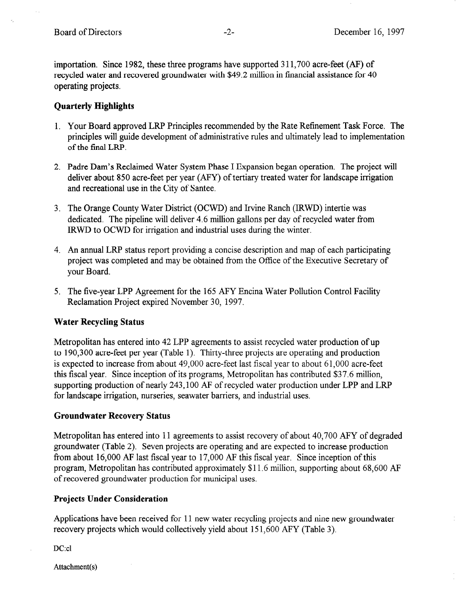importation. Since 1982, these three programs have supported 3 11,700 acre-feet (AF) of recycled water and recovered groundwater with \$49.2 million in financial assistance for 40 operating projects.

## Quarterly Highlights

- 1. Your Board approved LRP Principles recommended by the Rate Refinement Task Force. The principles will guide development of administrative rules and ultimately lead to implementation of the final LRP.
- 2. Padre Dam's Reclaimed Water System Phase I Expansion began operation. The project will deliver about 850 acre-feet per year (AFY) of tertiary treated water for landscape irrigation and recreational use in the City of Santee.
- 3. The Orange County Water District (OCWD) and Irvine Ranch (IRWD) intertie was dedicated. The pipeline will deliver 4.6 million gallons per day of recycled water from IRWD to OCWD for irrigation and industrial uses during the winter.
- 4. An annual LRP status report providing a concise description and map of each participating project was completed and may be obtained from the Office of the Executive Secretary of your Board.
- 5. The five-year LPP Agreement for the 165 AFY Encina Water Pollution Control Facility Reclamation Project expired November 30, 1997.

## Water Recycling Status

Metropolitan has entered into 42 LPP agreements to assist recycled water production of up to 190,300 acre-feet per year (Table 1). Thirty-three projects are operating and production is expected to increase from about 49,000 acre-feet last fiscal year to about 61,000 acre-feet this fiscal year. Since inception of its programs, Metropolitan has contributed \$37.6 million, supporting production of nearly 243,100 AF of recycled water production under LPP and LRP for landscape irrigation, nurseries, seawater barriers, and industrial uses.

## Groundwater Recovery Status

Metropolitan has entered into 11 agreements to assist recovery of about 40,700 AFY of degraded groundwater (Table 2). Seven projects are operating and are expected to increase production from about 16,000 AF last fiscal year to 17,000 AF this fiscal year. Since inception of this program, Metropolitan has contributed approximately \$11.6 million, supporting about 68,600 AF of recovered groundwater production for municipal uses.

### Projects Under Consideration

Applications have been received for 11 new water recycling projects and nine new groundwater recovery projects which would collectively yield about 151,600 AFY (Table 3).

DC:cl

Attachment(s)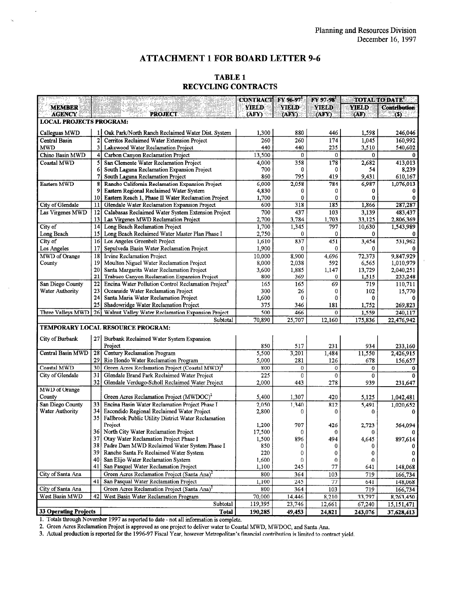#### ATTACHMENT 1 FOR BOARD LETTER 9-6

#### TABLE 1 RECYCLING CONTRACTS

|                                                                           |              |                                                                                                        | <b>CONTRACT</b> | FY 96-97       | FY 97-98 |              | <b>TOTAL TO DATE!</b> |  |
|---------------------------------------------------------------------------|--------------|--------------------------------------------------------------------------------------------------------|-----------------|----------------|----------|--------------|-----------------------|--|
| <b>MEMBER</b>                                                             |              |                                                                                                        | <b>YIELD</b>    | <b>YIELD</b>   | YIELD    | <b>YIELD</b> | <b>Contribution</b>   |  |
| <b>PROJECT</b><br>(AFY)<br>(AFY)<br>(AFN)<br>(AF)<br><b>ACENCY</b><br>(S) |              |                                                                                                        |                 |                |          |              |                       |  |
| <b>LOCAL PROJECTS PROGRAM:</b>                                            |              |                                                                                                        |                 |                |          |              |                       |  |
| Calleguas MWD                                                             | 11           | Oak Park/North Ranch Reclaimed Water Dist. System                                                      | 1,300           | 880            | 446      | 1,598        | 246,046               |  |
| Central Basin                                                             | 2            | Cerritos Reclaimed Water Extension Project                                                             | 260             | 260            | 174      | 1,045        | 160,992               |  |
| <b>MWD</b>                                                                | q            | Lakewood Water Reclamation Project                                                                     | 440             | 440            | 235      | 3,510        | 540,602               |  |
| Chino Basin MWD                                                           |              | Carbon Canyon Reclamation Project                                                                      | 13,500          | 0              | 0        | $\bf{0}$     | 0                     |  |
| Coastal MWD                                                               | 5            | San Clemente Water Reclamation Project                                                                 | 4,000           | 358            | 178      | 2.682        | 413,013               |  |
|                                                                           | 6            | South Laguna Reclamation Expansion Project                                                             | 700             | 0              | 0        | 54           | 8,239                 |  |
|                                                                           | 7            | South Laguna Reclamation Project                                                                       | 860             | 795            | 419      | 9,431        | 610,167               |  |
| Eastern MWD                                                               | g            | Rancho California Reclamation Expansion Project                                                        | 6,000           | 2,058          | 784      | 6,987        | 1,076,013             |  |
|                                                                           | 9            | Eastern Regional Reclaimed Water System                                                                | 4,830           | 0              | 0        | 0            | 0                     |  |
|                                                                           | 10           | Eastern Reach 1, Phase II Water Reclamation Project                                                    | 1,700           | 0              | 0        | 0            | 0                     |  |
| City of Glendale                                                          | $\mathbf{1}$ | Glendale Water Reclamation Expansion Project                                                           | 600             | 318            | 185      | 1,866        | 287,287               |  |
| Las Virgenes MWD                                                          | 12           | Calabasas Reclaimed Water System Extension Project                                                     | 700             | 437            | 103      | 3,139        | 483,437               |  |
|                                                                           | 13           | Las Virgenes MWD Reclamation Project                                                                   | 2,700           | 3,784          | 1,703    | 33,125       | 2,806,369             |  |
| City of                                                                   | 14           | Long Beach Reclamation Project                                                                         | 1,700           | 1,345          | 797      | 10,630       | 1,543,989             |  |
| Long Beach                                                                | 15           | Long Beach Reclaimed Water Master Plan Phase I                                                         | 2,750           | 0              | 0        | 0            | 0                     |  |
| City of                                                                   | 16           | Los Angeles Greenbelt Project                                                                          | 1,610           | 837            | 451      | 3,454        | 531,962               |  |
| Los Angeles                                                               | 17           | Sepulveda Basin Water Reclamation Project                                                              | 1,900           | 0              | 0        | 0            | 0                     |  |
| MWD of Orange                                                             | 18           | Irvine Reclamation Project                                                                             | 10,000          | 8,900          | 4,696    | 72,373       | 9,847,929             |  |
| County                                                                    | 19           | Moulton Niguel Water Reclamation Project                                                               | 8,000           | 2,038          | 592      | 6,565        | 1,010,979             |  |
|                                                                           | 20           | Santa Margarita Water Reclamation Project                                                              | 3,600           | 1,885          | 1.147    | 13,729       | 2,040,251             |  |
|                                                                           | 21           | Trabuco Canyon Reclamation Expansion Project                                                           | 800             | 369            | 0        | 1,515        | 233,248               |  |
| San Diego County                                                          | 22           | Encina Water Pollution Control Reclamation Project <sup>3</sup>                                        | 165             | 165            | 69       | 719          | 110,711               |  |
| Water Authority                                                           | 23<br>24     | Oceanside Water Reclamation Project<br>Santa Maria Water Reclamation Project                           | 300<br>1,600    | 26<br>$\bf{0}$ | 0<br>0   | 102<br>0     | 15,770                |  |
|                                                                           | 25           | Shadowridge Water Reclamation Project                                                                  | 375             | 346            | 181      | 1,752        | 269,823               |  |
| Three Valleys MWD                                                         | 26           | Walnut Valley Water Reclamation Expansion Project                                                      | 500             | 466            | $\bf{0}$ | 1,559        | 240,117               |  |
|                                                                           |              | Subtotal                                                                                               | 70,890          | 25,707         | 12,160   | 175,836      | 22,476,942            |  |
|                                                                           |              | TEMPORARY LOCAL RESOURCE PROGRAM:                                                                      |                 |                |          |              |                       |  |
|                                                                           |              |                                                                                                        |                 |                |          |              |                       |  |
| City of Burbank                                                           |              | 27 Burbank Reclaimed Water System Expansion                                                            |                 |                |          |              |                       |  |
|                                                                           |              | Project                                                                                                | 850             | 517            | 231      | 934          | 233,160               |  |
| Central Basin MWD                                                         | 28           | Century Reclamation Program                                                                            | 5,500           | 3,201          | 1,484    | 11.550       | 2,426,915             |  |
|                                                                           | 29           | Rio Hondo Water Reclamation Program                                                                    | 5,000           | 281            | 126      | 678          | 156,657               |  |
| Coastal MWD                                                               | 30           | Green Acres Reclamation Project (Coastal MWD) <sup>2</sup>                                             | 800             | 0              | 0        | 0            | 0                     |  |
| City of Glendale                                                          | 31           | Glendale Brand Park Reclaimed Water Project                                                            | 225             | 0              | 0        | 0            |                       |  |
|                                                                           | 32           | Glendale Verdugo-Scholl Reclaimed Water Project                                                        | 2,000           | 443            | 278      | 939          | 231,647               |  |
| MWD of Orange                                                             |              |                                                                                                        |                 |                |          |              |                       |  |
| County                                                                    | 33           | Green Acres Reclamation Project (MWDOC) <sup>2</sup><br>Encina Basin Water Reclamation Project Phase I | 5,400           | 1,307          | 420      | 5,125        | 1,042,481             |  |
| San Diego County<br>Water Authority                                       | 34           | Escondido Regional Reclaimed Water Project                                                             | 2,050<br>2,800  | 1,340<br>0     | 812<br>0 | 5,491        | 1,020,652             |  |
|                                                                           | 35           | Fallbrook Public Utility District Water Reclamation                                                    |                 |                |          | 0            | 0                     |  |
|                                                                           |              | Project                                                                                                | 1,200           | 707            | 426      | 2,723        | 564,094               |  |
|                                                                           | 36           | North City Water Reclamation Project                                                                   | 17,500          | 0              |          |              |                       |  |
|                                                                           |              | 37 Otay Water Reclamation Project Phase I                                                              | 1,500           | 896            | 494      | 4,645        | 897,614               |  |
|                                                                           |              | 38 Padre Dam MWD Reclaimed Water System Phase I                                                        | 850             | 0              | 0        |              |                       |  |
|                                                                           | 39           | Rancho Santa Fe Reclaimed Water System                                                                 | 220             | 0              | 0        | 0            | 0                     |  |
|                                                                           | 40           | San Elijo Water Reclamation System                                                                     | 1,600           | 0              | 0        | 0            |                       |  |
|                                                                           | 41           | San Pasquel Water Reclamation Project                                                                  | 1,100           | 245            | 77       | 641          | 148,068               |  |
| City of Santa Ana                                                         |              | Green Acres Reclamation Project (Santa Ana) <sup>2</sup>                                               | 800             | 364            | 103      | 719          | 166,734               |  |
|                                                                           | 41           | San Pasqual Water Reclamation Project                                                                  | 1,100           | 245            | 77       | 641          | 148,068               |  |
| City of Santa Ana                                                         |              | Green Acres Reclamation Project (Santa Ana) <sup>2</sup>                                               | 800             | 364            | 103      | 719          | 166,734               |  |
| West Basin MWD                                                            | 42           | West Basin Water Reclamation Program                                                                   | 70,000          | 14,446         | 8,210    | 33,797       | 8,263,450             |  |
| Subtotal                                                                  |              |                                                                                                        |                 | 23,746         | 12,661   | 67,240       | 15,151,471            |  |
| 33 Operating Projects                                                     | <b>Total</b> | 190,285                                                                                                | 49,453          | 24,821         | 243,076  | 37,628,413   |                       |  |

1. Total 1. Total intervention in the second to date in the second to date in the second to date in the second intervention is completed to date in the second to date in the second to date in the second intervention is com 2. Totals un'ough indiversible 1997 as reported to date - not an information is complete.

2. Green Acres Reclamation Froject is approved as one project to denver water to Coastal MWD, MWDOC, and Santa Ana.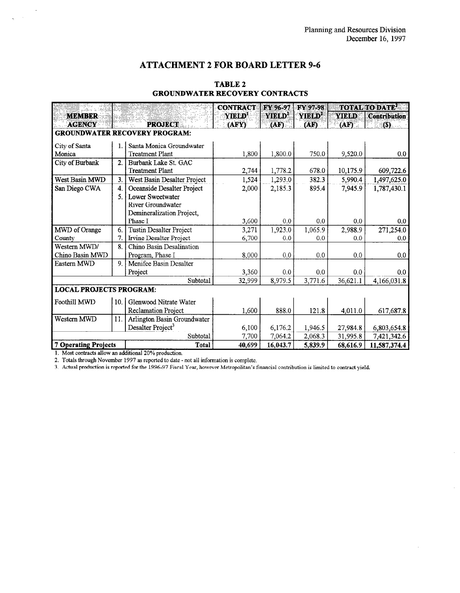## ATTACHMENT 2 FOR BOARD LETTER 9-6

| a diference<br>Santa di Ca                           |                  |                                | <b>CONTRACT</b>    | FY 96-97 FY 97-98  |                    |              | <b>TOTAL TO DATE<sup>1</sup></b> |
|------------------------------------------------------|------------------|--------------------------------|--------------------|--------------------|--------------------|--------------|----------------------------------|
| <b>MEMBER</b>                                        |                  |                                | YIELD <sup>1</sup> | YIELD <sup>2</sup> | YIELD <sup>2</sup> | <b>YIELD</b> | Contribution                     |
| <b>AGENCY</b>                                        |                  | <b>PROJECT</b>                 | (AFY)              | (AF)               | (AF)               | (AF)         | (S)                              |
| <b>GROUNDWATER RECOVERY PROGRAM:</b>                 |                  |                                |                    |                    |                    |              |                                  |
| City of Santa                                        | 1.               | Santa Monica Groundwater       |                    |                    |                    |              |                                  |
| Monica                                               |                  | <b>Treatment Plant</b>         | 1,800              | 1,800.0            | 750.0              | 9,520.0      | 0.0                              |
| City of Burbank                                      | 2.               | Burbank Lake St. GAC           |                    |                    |                    |              |                                  |
|                                                      |                  | <b>Treatment Plant</b>         | 2,744              | 1,778.2            | 678.0              | 10,175.9     | 609,722.6                        |
| West Basin MWD                                       | 3.               | West Basin Desalter Project    | 1,524              | 1,293.0            | 382.3              | 5,990.4      | 1,497,625.0                      |
| San Diego CWA                                        | $\overline{4}$ . | Oceanside Desalter Project     | 2,000              | 2,185.3            | 895.4              | 7,945.9      | 1,787,430.1                      |
|                                                      | 5.               | <b>Lower Sweetwater</b>        |                    |                    |                    |              |                                  |
|                                                      |                  | River Groundwater              |                    |                    |                    |              |                                  |
|                                                      |                  | Demineralization Project,      |                    |                    |                    |              |                                  |
|                                                      |                  | Phase I                        | 3,600              | 0.0                | 0.0                | 0.0          | 0.0                              |
| MWD of Orange                                        | 6.               | Tustin Desalter Project        | 3,271              | 1,923.0            | 1,065.9            | 2,988.9      | 271,254.0                        |
| County                                               | 7.               | <b>Irvine Desalter Project</b> | 6,700              | 0.0                | 0.0                | 0.0          | 0.0                              |
| Western MWD/                                         | 8.               | Chino Basin Desalination       |                    |                    |                    |              |                                  |
| Chino Basin MWD                                      |                  | Program, Phase I               | 8,000              | 0.0                | 0.0                | 0.0          | 0.0                              |
| Eastern MWD                                          | 9.               | Menifee Basin Desalter         |                    |                    |                    |              |                                  |
|                                                      |                  | 3,360<br>Project               |                    | 0.0                | 0.0                | 0.0          | 0.0                              |
| 8,979.5<br>Subtotal<br>3,771.6<br>36,621.1<br>32,999 |                  |                                |                    |                    |                    |              | 4,166,031.8                      |
| <b>LOCAL PROJECTS PROGRAM:</b>                       |                  |                                |                    |                    |                    |              |                                  |
| Foothill MWD                                         | 10.              | Glenwood Nitrate Water         |                    |                    |                    |              |                                  |
|                                                      |                  | Reclamation Project            | 1,600              | 888.0              | 121.8              | 4,011.0      | 617,687.8                        |
| Western MWD                                          | 11.              | Arlington Basin Groundwater    |                    |                    |                    |              |                                  |
|                                                      |                  | Desalter Project <sup>3</sup>  | 6,100              | 6,176.2            | 1,946.5            | 27,984.8     | 6,803,654.8                      |
|                                                      | Subtotal         | 7,700                          | 7,064.2            | 2,068.3            | 31,995.8           | 7,421,342.6  |                                  |
| <b>7 Operating Projects</b>                          |                  | <b>Total</b>                   | 40,699             | 16,043.7           | 5,839.9            | 68,616.9     | 11,587,374.4                     |

### TABLE 2 GROUNDWATER RECOVERY CONTRACTS

1. Most contracts allow an additional 20% production.

 $\sim$  $\hat{\mathcal{A}}$ 

2. Totals through November 1997 as reported to date -not all information is complete.

3. Actual production is reported for the 1996-97 Fiscal Year, however Metropolitan's financial contribution is limited to contract yield,